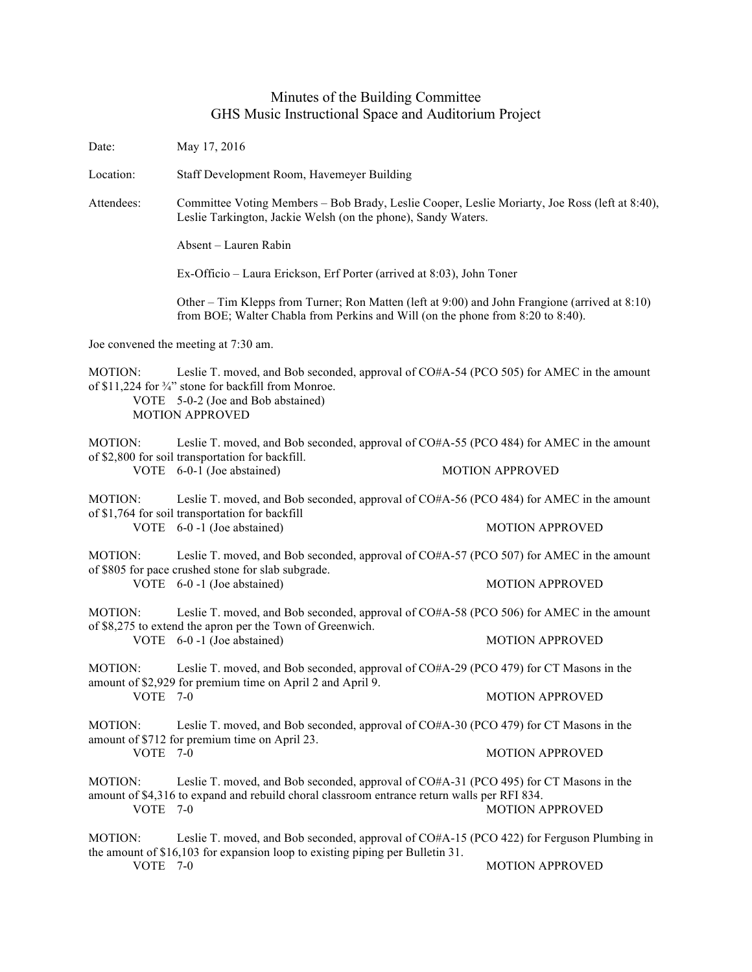## Minutes of the Building Committee GHS Music Instructional Space and Auditorium Project

Date: May 17, 2016 Location: Staff Development Room, Havemeyer Building Attendees: Committee Voting Members – Bob Brady, Leslie Cooper, Leslie Moriarty, Joe Ross (left at 8:40), Leslie Tarkington, Jackie Welsh (on the phone), Sandy Waters. Absent – Lauren Rabin Ex-Officio – Laura Erickson, Erf Porter (arrived at 8:03), John Toner Other – Tim Klepps from Turner; Ron Matten (left at 9:00) and John Frangione (arrived at 8:10) from BOE; Walter Chabla from Perkins and Will (on the phone from 8:20 to 8:40). Joe convened the meeting at 7:30 am. MOTION: Leslie T. moved, and Bob seconded, approval of CO#A-54 (PCO 505) for AMEC in the amount of \$11,224 for <sup>3</sup>/<sub>4</sub>" stone for backfill from Monroe. VOTE 5-0-2 (Joe and Bob abstained) MOTION APPROVED MOTION: Leslie T. moved, and Bob seconded, approval of CO#A-55 (PCO 484) for AMEC in the amount of \$2,800 for soil transportation for backfill. VOTE 6-0-1 (Joe abstained) MOTION APPROVED MOTION: Leslie T. moved, and Bob seconded, approval of CO#A-56 (PCO 484) for AMEC in the amount of \$1,764 for soil transportation for backfill VOTE 6-0 -1 (Joe abstained) MOTION APPROVED MOTION: Leslie T. moved, and Bob seconded, approval of CO#A-57 (PCO 507) for AMEC in the amount of \$805 for pace crushed stone for slab subgrade. VOTE 6-0-1 (Joe abstained) MOTION APPROVED MOTION: Leslie T. moved, and Bob seconded, approval of CO#A-58 (PCO 506) for AMEC in the amount of \$8,275 to extend the apron per the Town of Greenwich. VOTE 6-0 -1 (Joe abstained) MOTION APPROVED MOTION: Leslie T. moved, and Bob seconded, approval of CO#A-29 (PCO 479) for CT Masons in the amount of \$2,929 for premium time on April 2 and April 9. VOTE 7-0 MOTION APPROVED MOTION: Leslie T. moved, and Bob seconded, approval of CO#A-30 (PCO 479) for CT Masons in the amount of \$712 for premium time on April 23. **MOTION APPROVED** MOTION: Leslie T. moved, and Bob seconded, approval of CO#A-31 (PCO 495) for CT Masons in the amount of \$4,316 to expand and rebuild choral classroom entrance return walls per RFI 834. VOTE 7-0 MOTION APPROVED MOTION: Leslie T. moved, and Bob seconded, approval of CO#A-15 (PCO 422) for Ferguson Plumbing in the amount of \$16,103 for expansion loop to existing piping per Bulletin 31. VOTE 7-0 MOTION APPROVED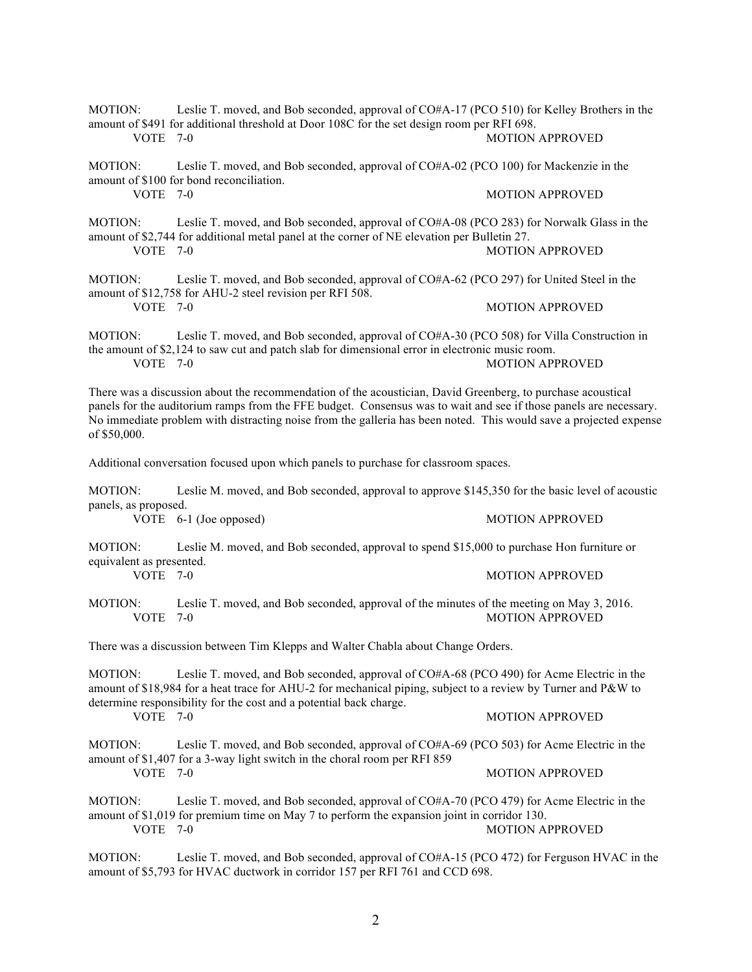| MOTION:<br>VOTE 7-0                                                                                                                                                                                                                                                                                                                                                   | Leslie T. moved, and Bob seconded, approval of CO#A-17 (PCO 510) for Kelley Brothers in the<br>amount of \$491 for additional threshold at Door 108C for the set design room per RFI 698.<br><b>MOTION APPROVED</b>                                                              |                        |
|-----------------------------------------------------------------------------------------------------------------------------------------------------------------------------------------------------------------------------------------------------------------------------------------------------------------------------------------------------------------------|----------------------------------------------------------------------------------------------------------------------------------------------------------------------------------------------------------------------------------------------------------------------------------|------------------------|
| MOTION:<br>VOTE 7-0                                                                                                                                                                                                                                                                                                                                                   | Leslie T. moved, and Bob seconded, approval of CO#A-02 (PCO 100) for Mackenzie in the<br>amount of \$100 for bond reconciliation.                                                                                                                                                | <b>MOTION APPROVED</b> |
| MOTION:<br>VOTE 7-0                                                                                                                                                                                                                                                                                                                                                   | Leslie T. moved, and Bob seconded, approval of CO#A-08 (PCO 283) for Norwalk Glass in the<br>amount of \$2,744 for additional metal panel at the corner of NE elevation per Bulletin 27.                                                                                         | <b>MOTION APPROVED</b> |
| MOTION:<br>VOTE $7-0$                                                                                                                                                                                                                                                                                                                                                 | Leslie T. moved, and Bob seconded, approval of CO#A-62 (PCO 297) for United Steel in the<br>amount of \$12,758 for AHU-2 steel revision per RFI 508.                                                                                                                             | <b>MOTION APPROVED</b> |
| MOTION:<br>VOTE 7-0                                                                                                                                                                                                                                                                                                                                                   | Leslie T. moved, and Bob seconded, approval of CO#A-30 (PCO 508) for Villa Construction in<br>the amount of \$2,124 to saw cut and patch slab for dimensional error in electronic music room.                                                                                    | <b>MOTION APPROVED</b> |
| There was a discussion about the recommendation of the acoustician, David Greenberg, to purchase acoustical<br>panels for the auditorium ramps from the FFE budget. Consensus was to wait and see if those panels are necessary.<br>No immediate problem with distracting noise from the galleria has been noted. This would save a projected expense<br>of \$50,000. |                                                                                                                                                                                                                                                                                  |                        |
| Additional conversation focused upon which panels to purchase for classroom spaces.                                                                                                                                                                                                                                                                                   |                                                                                                                                                                                                                                                                                  |                        |
| <b>MOTION:</b><br>panels, as proposed.                                                                                                                                                                                                                                                                                                                                | Leslie M. moved, and Bob seconded, approval to approve \$145,350 for the basic level of acoustic                                                                                                                                                                                 |                        |
|                                                                                                                                                                                                                                                                                                                                                                       | VOTE 6-1 (Joe opposed)                                                                                                                                                                                                                                                           | <b>MOTION APPROVED</b> |
| <b>MOTION:</b><br>equivalent as presented.                                                                                                                                                                                                                                                                                                                            | Leslie M. moved, and Bob seconded, approval to spend \$15,000 to purchase Hon furniture or                                                                                                                                                                                       |                        |
| VOTE 7-0                                                                                                                                                                                                                                                                                                                                                              |                                                                                                                                                                                                                                                                                  | <b>MOTION APPROVED</b> |
| MOTION:<br><b>VOTE 7-0</b>                                                                                                                                                                                                                                                                                                                                            | Leslie T. moved, and Bob seconded, approval of the minutes of the meeting on May 3, 2016.                                                                                                                                                                                        | <b>MOTION APPROVED</b> |
| There was a discussion between Tim Klepps and Walter Chabla about Change Orders.                                                                                                                                                                                                                                                                                      |                                                                                                                                                                                                                                                                                  |                        |
| <b>MOTION:</b>                                                                                                                                                                                                                                                                                                                                                        | Leslie T. moved, and Bob seconded, approval of CO#A-68 (PCO 490) for Acme Electric in the<br>amount of \$18,984 for a heat trace for AHU-2 for mechanical piping, subject to a review by Turner and P&W to<br>determine responsibility for the cost and a potential back charge. |                        |
| VOTE 7-0                                                                                                                                                                                                                                                                                                                                                              |                                                                                                                                                                                                                                                                                  | <b>MOTION APPROVED</b> |
| MOTION:<br>VOTE 7-0                                                                                                                                                                                                                                                                                                                                                   | Leslie T. moved, and Bob seconded, approval of CO#A-69 (PCO 503) for Acme Electric in the<br>amount of \$1,407 for a 3-way light switch in the choral room per RFI 859                                                                                                           |                        |
|                                                                                                                                                                                                                                                                                                                                                                       |                                                                                                                                                                                                                                                                                  | <b>MOTION APPROVED</b> |
| MOTION:<br>VOTE 7-0                                                                                                                                                                                                                                                                                                                                                   | Leslie T. moved, and Bob seconded, approval of CO#A-70 (PCO 479) for Acme Electric in the<br>amount of \$1,019 for premium time on May 7 to perform the expansion joint in corridor 130.                                                                                         | <b>MOTION APPROVED</b> |
| MOTION:                                                                                                                                                                                                                                                                                                                                                               | Leslie T. moved, and Bob seconded, approval of CO#A-15 (PCO 472) for Ferguson HVAC in the<br>amount of \$5,793 for HVAC ductwork in corridor 157 per RFI 761 and CCD 698.                                                                                                        |                        |